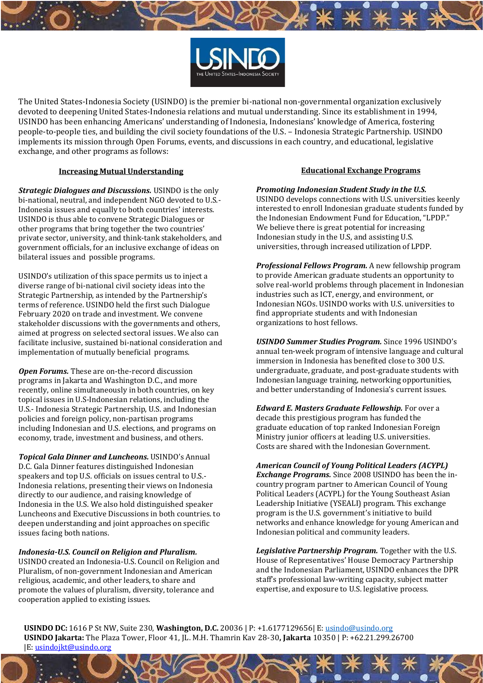

The United States-Indonesia Society (USINDO) is the premier bi-national non-governmental organization exclusively devoted to deepening United States-Indonesia relations and mutual understanding. Since its establishment in 1994, USINDO has been enhancing Americans' understanding of Indonesia, Indonesians' knowledge of America, fostering people-to-people ties, and building the civil society foundations of the U.S. – Indonesia Strategic Partnership. USINDO implements its mission through Open Forums, events, and discussions in each country, and educational, legislative exchange, and other programs as follows:

## **Increasing Mutual Understanding**

*Strategic Dialogues and Discussions.* USINDO is the only bi-national, neutral, and independent NGO devoted to U.S.- Indonesia issues and equally to both countries' interests. USINDO is thus able to convene Strategic Dialogues or other programs that bring together the two countries' private sector, university, and think-tank stakeholders, and government officials, for an inclusive exchange of ideas on bilateral issues and possible programs.

USINDO's utilization of this space permits us to inject a diverse range of bi-national civil society ideas into the Strategic Partnership, as intended by the Partnership's terms of reference. USINDO held the first such Dialogue February 2020 on trade and investment. We convene stakeholder discussions with the governments and others, aimed at progress on selected sectoral issues. We also can facilitate inclusive, sustained bi-national consideration and implementation of mutually beneficial programs.

*Open Forums.* These are on-the-record discussion programs in Jakarta and Washington D.C., and more recently, online simultaneously in both countries, on key topical issues in U.S-Indonesian relations, including the U.S.- Indonesia Strategic Partnership, U.S. and Indonesian policies and foreign policy, non-partisan programs including Indonesian and U.S. elections, and programs on economy, trade, investment and business, and others.

*Topical Gala Dinner and Luncheons.* USINDO's Annual D.C. Gala Dinner features distinguished Indonesian speakers and top U.S. officials on issues central to U.S.- Indonesia relations, presenting their views on Indonesia directly to our audience, and raising knowledge of Indonesia in the U.S. We also hold distinguished speaker Luncheons and Executive Discussions in both countries. to deepen understanding and joint approaches on specific issues facing both nations.

*Indonesia-U.S. Council on Religion and Pluralism.*

USINDO created an Indonesia-U.S. Council on Religion and Pluralism, of non-government Indonesian and American religious, academic, and other leaders, to share and promote the values of pluralism, diversity, tolerance and cooperation applied to existing issues.

# **Educational Exchange Programs**

*Promoting Indonesian Student Study in the U.S.*

USINDO develops connections with U.S. universities keenly interested to enroll Indonesian graduate students funded by the Indonesian Endowment Fund for Education, "LPDP." We believe there is great potential for increasing Indonesian study in the U.S, and assisting U.S. universities, through increased utilization of LPDP.

*Professional Fellows Program.* A new fellowship program to provide American graduate students an opportunity to solve real-world problems through placement in Indonesian industries such as ICT, energy, and environment, or Indonesian NGOs. USINDO works with U.S. universities to find appropriate students and with Indonesian organizations to host fellows.

*USINDO Summer Studies Program.* Since 1996 USINDO's annual ten-week program of intensive language and cultural immersion in Indonesia has benefited close to 300 U.S. undergraduate, graduate, and post-graduate students with Indonesian language training, networking opportunities, and better understanding of Indonesia's current issues.

*Edward E. Masters Graduate Fellowship.* For over a decade this prestigious program has funded the graduate education of top ranked Indonesian Foreign Ministry junior officers at leading U.S. universities. Costs are shared with the Indonesian Government.

*American Council of Young Political Leaders (ACYPL) Exchange Programs.* Since 2008 USINDO has been the incountry program partner to American Council of Young Political Leaders (ACYPL) for the Young Southeast Asian Leadership Initiative (YSEALI) program. This exchange program is the U.S. government's initiative to build networks and enhance knowledge for young American and Indonesian political and community leaders.

*Legislative Partnership Program.* Together with the U.S. House of Representatives' House Democracy Partnership and the Indonesian Parliament, USINDO enhances the DPR staff's professional law-writing capacity, subject matter expertise, and exposure to U.S. legislative process.

**USINDO DC:** 1616 P St NW, Suite 230, **Washington, D.C.** 20036 | P: +1.6177129656| E: [usindo@usindo.org](mailto:usindo@usindo.org) **USINDO Jakarta:** The Plaza Tower, Floor 41, JL. M.H. Thamrin Kav 28-30**, Jakarta** 10350 | P: +62.21.299.26700 |E: [usindojkt@usindo.org](mailto:usindojkt@usindo.org)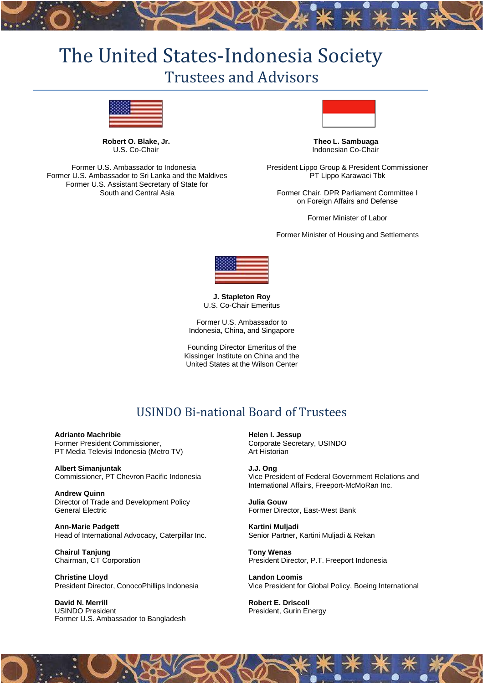# The United States-Indonesia Society Trustees and Advisors



**Robert O. Blake, Jr.** U.S. Co-Chair

Former U.S. Ambassador to Indonesia Former U.S. Ambassador to Sri Lanka and the Maldives Former U.S. Assistant Secretary of State for South and Central Asia



**Theo L. Sambuaga** Indonesian Co-Chair

President Lippo Group & President Commissioner PT Lippo Karawaci Tbk

Former Chair, DPR Parliament Committee I on Foreign Affairs and Defense

Former Minister of Labor

Former Minister of Housing and Settlements



**J. Stapleton Roy** U.S. Co-Chair Emeritus

Former U.S. Ambassador to Indonesia, China, and Singapore

Founding Director Emeritus of the Kissinger Institute on China and the United States at the Wilson Center

# USINDO Bi-national Board of Trustees

**Adrianto Machribie** Former President Commissioner, PT Media Televisi Indonesia (Metro TV)

**Albert Simanjuntak** Commissioner, PT Chevron Pacific Indonesia

**Andrew Quinn** Director of Trade and Development Policy General Electric

**Ann-Marie Padgett** Head of International Advocacy, Caterpillar Inc.

**Chairul Tanjung** Chairman, CT Corporation

**Christine Lloyd** President Director, ConocoPhillips Indonesia

**David N. Merrill** USINDO President Former U.S. Ambassador to Bangladesh **Helen I. Jessup** Corporate Secretary, USINDO Art Historian

**J.J. Ong** Vice President of Federal Government Relations and International Affairs, Freeport-McMoRan Inc.

**Julia Gouw** Former Director, East-West Bank

**Kartini Muljadi** Senior Partner, Kartini Muljadi & Rekan

**Tony Wenas** President Director, P.T. Freeport Indonesia

**Landon Loomis** Vice President for Global Policy, Boeing International

**Robert E. Driscoll** President, Gurin Energy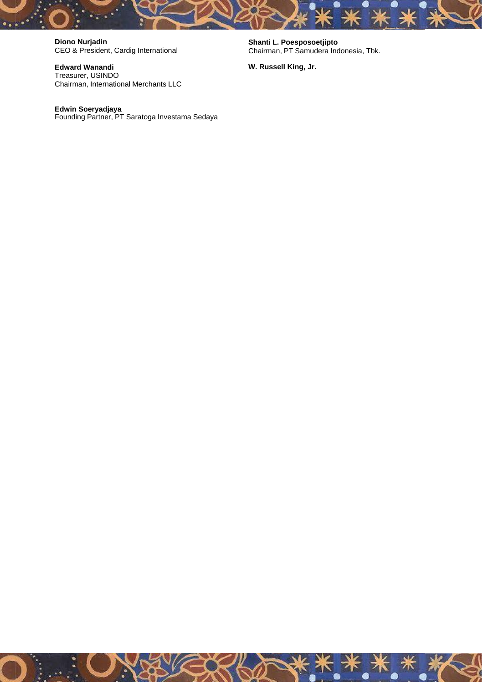**Diono Nurjadin** CEO & President, Cardig International

**Edward Wanandi** Treasurer, USINDO Chairman, International Merchants LLC

**Edwin Soeryadjaya** Founding Partner, PT Saratoga Investama Sedaya **Shanti L. Poesposoetjipto** Chairman, PT Samudera Indonesia, Tbk.

**W. Russell King, Jr.**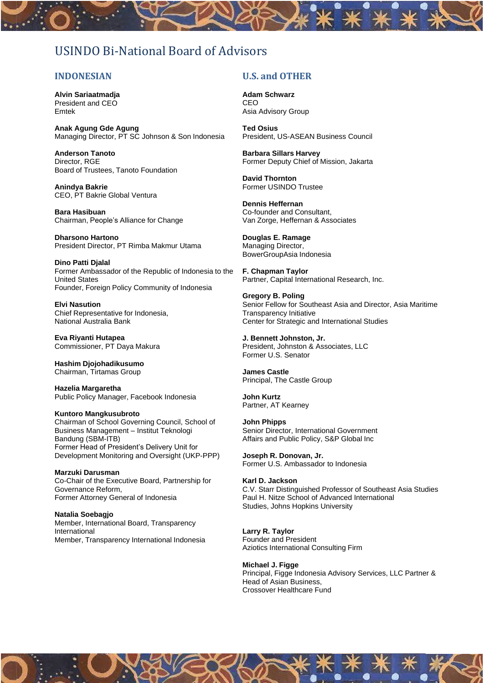# USINDO Bi-National Board of Advisors

# **INDONESIAN**

**Alvin Sariaatmadja** President and CEO Emtek

**Anak Agung Gde Agung** Managing Director, PT SC Johnson & Son Indonesia

**Anderson Tanoto** Director, RGE Board of Trustees, Tanoto Foundation

**Anindya Bakrie** CEO, PT Bakrie Global Ventura

**Bara Hasibuan** Chairman, People's Alliance for Change

**Dharsono Hartono** President Director, PT Rimba Makmur Utama

**Dino Patti Djalal** Former Ambassador of the Republic of Indonesia to the United States Founder, Foreign Policy Community of Indonesia

**Elvi Nasution** Chief Representative for Indonesia, National Australia Bank

**Eva Riyanti Hutapea** Commissioner, PT Daya Makura

**Hashim Djojohadikusumo** Chairman, Tirtamas Group

**Hazelia Margaretha** Public Policy Manager, Facebook Indonesia

**Kuntoro Mangkusubroto** Chairman of School Governing Council, School of Business Management – Institut Teknologi Bandung (SBM-ITB) Former Head of President's Delivery Unit for Development Monitoring and Oversight (UKP-PPP)

**Marzuki Darusman** Co-Chair of the Executive Board, Partnership for Governance Reform, Former Attorney General of Indonesia

**Natalia Soebagjo** Member, International Board, Transparency International Member, Transparency International Indonesia

# **U.S. and OTHER**

**Adam Schwarz** CEO Asia Advisory Group

**Ted Osius** President, US-ASEAN Business Council

**Barbara Sillars Harvey** Former Deputy Chief of Mission, Jakarta

**David Thornton** Former USINDO Trustee

**Dennis Heffernan** Co-founder and Consultant, Van Zorge, Heffernan & Associates

**Douglas E. Ramage** Managing Director, BowerGroupAsia Indonesia

**F. Chapman Taylor** Partner, Capital International Research, Inc.

**Gregory B. Poling** Senior Fellow for Southeast Asia and Director, Asia Maritime Transparency Initiative Center for Strategic and International Studies

**J. Bennett Johnston, Jr.** President, Johnston & Associates, LLC Former U.S. Senator

**James Castle** Principal, The Castle Group

**John Kurtz** Partner, AT Kearney

**John Phipps** Senior Director, International Government Affairs and Public Policy, S&P Global Inc

**Joseph R. Donovan, Jr.** Former U.S. Ambassador to Indonesia

# **Karl D. Jackson**

C.V. Starr Distinguished Professor of Southeast Asia Studies Paul H. Nitze School of Advanced International Studies, Johns Hopkins University

#### **Larry R. Taylor**

Founder and President Aziotics International Consulting Firm

**Michael J. Figge** Principal, Figge Indonesia Advisory Services, LLC Partner & Head of Asian Business,

Crossover Healthcare Fund